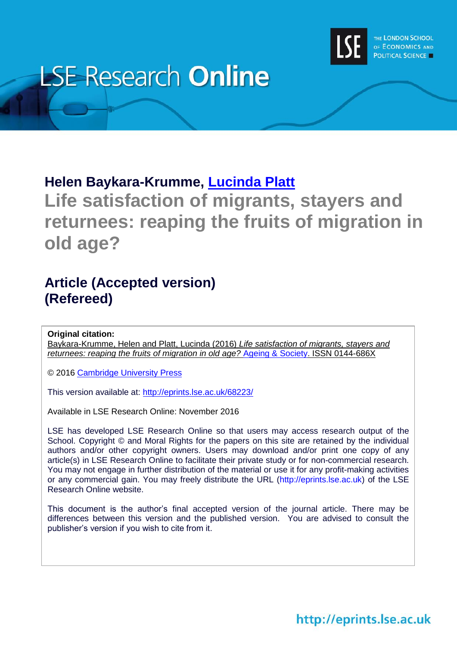

# **LSE Research Online**

## **Helen Baykara-Krumme, [Lucinda Platt](http://www.lse.ac.uk/researchAndExpertise/Experts/profile.aspx?KeyValue=l.platt@lse.ac.uk)**

**Life satisfaction of migrants, stayers and returnees: reaping the fruits of migration in old age?**

## **Article (Accepted version) (Refereed)**

**Original citation:**

Baykara-Krumme, Helen and Platt, Lucinda (2016) *Life satisfaction of migrants, stayers and returnees: reaping the fruits of migration in old age?* [Ageing & Society.](https://www.cambridge.org/core/journals/ageing-and-society) ISSN 0144-686X

© 2016 [Cambridge University Press](http://www.cambridge.org/)

This version available at:<http://eprints.lse.ac.uk/68223/>

Available in LSE Research Online: November 2016

LSE has developed LSE Research Online so that users may access research output of the School. Copyright © and Moral Rights for the papers on this site are retained by the individual authors and/or other copyright owners. Users may download and/or print one copy of any article(s) in LSE Research Online to facilitate their private study or for non-commercial research. You may not engage in further distribution of the material or use it for any profit-making activities or any commercial gain. You may freely distribute the URL (http://eprints.lse.ac.uk) of the LSE Research Online website.

This document is the author's final accepted version of the journal article. There may be differences between this version and the published version. You are advised to consult the publisher's version if you wish to cite from it.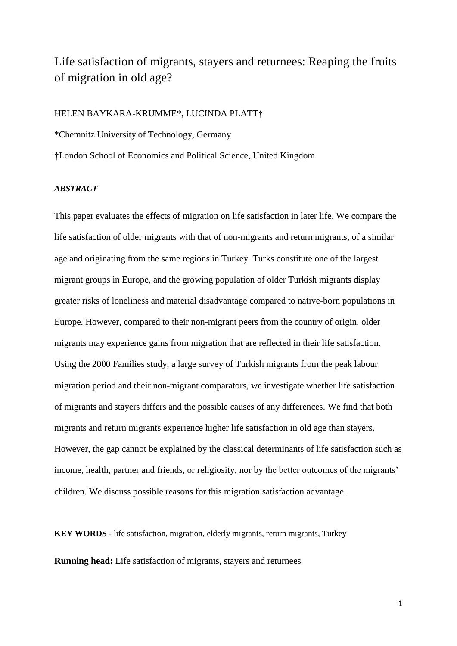### Life satisfaction of migrants, stayers and returnees: Reaping the fruits of migration in old age?

#### HELEN BAYKARA-KRUMME\*, LUCINDA PLATT†

\*Chemnitz University of Technology, Germany †London School of Economics and Political Science, United Kingdom

#### *ABSTRACT*

This paper evaluates the effects of migration on life satisfaction in later life. We compare the life satisfaction of older migrants with that of non-migrants and return migrants, of a similar age and originating from the same regions in Turkey. Turks constitute one of the largest migrant groups in Europe, and the growing population of older Turkish migrants display greater risks of loneliness and material disadvantage compared to native-born populations in Europe. However, compared to their non-migrant peers from the country of origin, older migrants may experience gains from migration that are reflected in their life satisfaction. Using the 2000 Families study, a large survey of Turkish migrants from the peak labour migration period and their non-migrant comparators, we investigate whether life satisfaction of migrants and stayers differs and the possible causes of any differences. We find that both migrants and return migrants experience higher life satisfaction in old age than stayers. However, the gap cannot be explained by the classical determinants of life satisfaction such as income, health, partner and friends, or religiosity, nor by the better outcomes of the migrants' children. We discuss possible reasons for this migration satisfaction advantage.

**KEY WORDS -** life satisfaction, migration, elderly migrants, return migrants, Turkey

**Running head:** Life satisfaction of migrants, stayers and returnees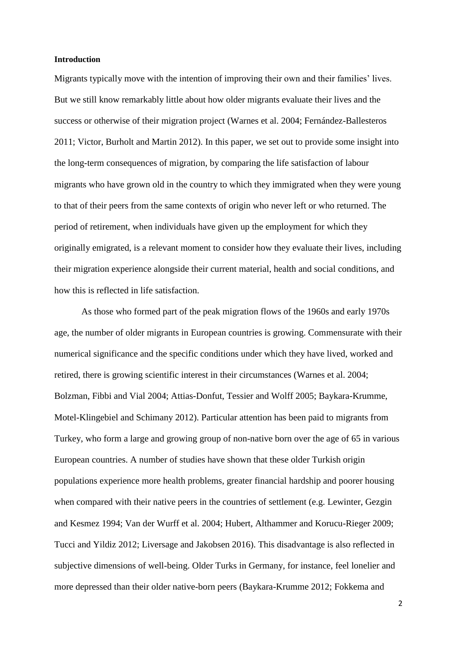#### **Introduction**

Migrants typically move with the intention of improving their own and their families' lives. But we still know remarkably little about how older migrants evaluate their lives and the success or otherwise of their migration project (Warnes et al. 2004; Fernández-Ballesteros 2011; Victor, Burholt and Martin 2012). In this paper, we set out to provide some insight into the long-term consequences of migration, by comparing the life satisfaction of labour migrants who have grown old in the country to which they immigrated when they were young to that of their peers from the same contexts of origin who never left or who returned. The period of retirement, when individuals have given up the employment for which they originally emigrated, is a relevant moment to consider how they evaluate their lives, including their migration experience alongside their current material, health and social conditions, and how this is reflected in life satisfaction.

As those who formed part of the peak migration flows of the 1960s and early 1970s age, the number of older migrants in European countries is growing. Commensurate with their numerical significance and the specific conditions under which they have lived, worked and retired, there is growing scientific interest in their circumstances (Warnes et al. 2004; Bolzman, Fibbi and Vial 2004; Attias-Donfut, Tessier and Wolff 2005; Baykara-Krumme, Motel-Klingebiel and Schimany 2012). Particular attention has been paid to migrants from Turkey, who form a large and growing group of non-native born over the age of 65 in various European countries. A number of studies have shown that these older Turkish origin populations experience more health problems, greater financial hardship and poorer housing when compared with their native peers in the countries of settlement (e.g. Lewinter, Gezgin and Kesmez 1994; Van der Wurff et al. 2004; Hubert, Althammer and Korucu-Rieger 2009; Tucci and Yildiz 2012; Liversage and Jakobsen 2016). This disadvantage is also reflected in subjective dimensions of well-being. Older Turks in Germany, for instance, feel lonelier and more depressed than their older native-born peers (Baykara-Krumme 2012; Fokkema and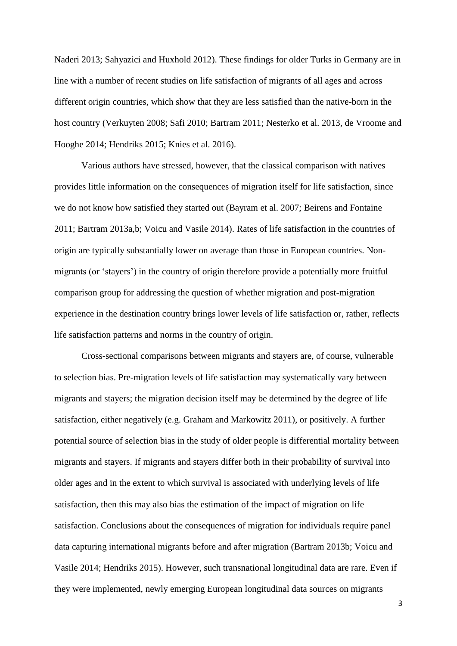Naderi 2013; Sahyazici and Huxhold 2012). These findings for older Turks in Germany are in line with a number of recent studies on life satisfaction of migrants of all ages and across different origin countries, which show that they are less satisfied than the native-born in the host country (Verkuyten 2008; Safi 2010; Bartram 2011; Nesterko et al. 2013, de Vroome and Hooghe 2014; Hendriks 2015; Knies et al. 2016).

Various authors have stressed, however, that the classical comparison with natives provides little information on the consequences of migration itself for life satisfaction, since we do not know how satisfied they started out (Bayram et al. 2007; Beirens and Fontaine 2011; Bartram 2013a,b; Voicu and Vasile 2014). Rates of life satisfaction in the countries of origin are typically substantially lower on average than those in European countries. Nonmigrants (or 'stayers') in the country of origin therefore provide a potentially more fruitful comparison group for addressing the question of whether migration and post-migration experience in the destination country brings lower levels of life satisfaction or, rather, reflects life satisfaction patterns and norms in the country of origin.

Cross-sectional comparisons between migrants and stayers are, of course, vulnerable to selection bias. Pre-migration levels of life satisfaction may systematically vary between migrants and stayers; the migration decision itself may be determined by the degree of life satisfaction, either negatively (e.g. Graham and Markowitz 2011), or positively. A further potential source of selection bias in the study of older people is differential mortality between migrants and stayers. If migrants and stayers differ both in their probability of survival into older ages and in the extent to which survival is associated with underlying levels of life satisfaction, then this may also bias the estimation of the impact of migration on life satisfaction. Conclusions about the consequences of migration for individuals require panel data capturing international migrants before and after migration (Bartram 2013b; Voicu and Vasile 2014; Hendriks 2015). However, such transnational longitudinal data are rare. Even if they were implemented, newly emerging European longitudinal data sources on migrants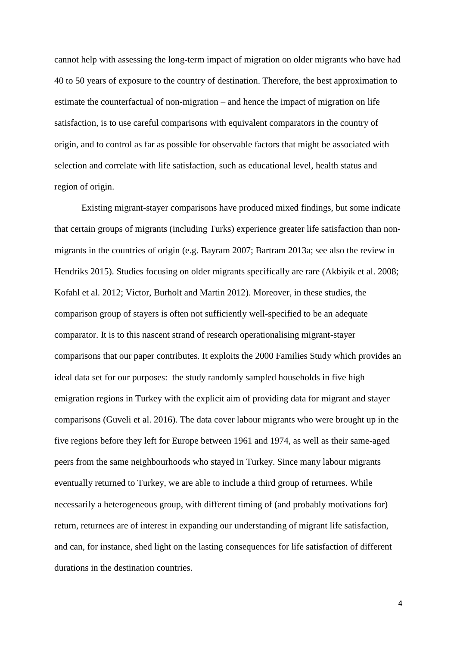cannot help with assessing the long-term impact of migration on older migrants who have had 40 to 50 years of exposure to the country of destination. Therefore, the best approximation to estimate the counterfactual of non-migration – and hence the impact of migration on life satisfaction, is to use careful comparisons with equivalent comparators in the country of origin, and to control as far as possible for observable factors that might be associated with selection and correlate with life satisfaction, such as educational level, health status and region of origin.

Existing migrant-stayer comparisons have produced mixed findings, but some indicate that certain groups of migrants (including Turks) experience greater life satisfaction than nonmigrants in the countries of origin (e.g. Bayram 2007; Bartram 2013a; see also the review in Hendriks 2015). Studies focusing on older migrants specifically are rare (Akbiyik et al. 2008; Kofahl et al. 2012; Victor, Burholt and Martin 2012). Moreover, in these studies, the comparison group of stayers is often not sufficiently well-specified to be an adequate comparator. It is to this nascent strand of research operationalising migrant-stayer comparisons that our paper contributes. It exploits the 2000 Families Study which provides an ideal data set for our purposes: the study randomly sampled households in five high emigration regions in Turkey with the explicit aim of providing data for migrant and stayer comparisons (Guveli et al. 2016). The data cover labour migrants who were brought up in the five regions before they left for Europe between 1961 and 1974, as well as their same-aged peers from the same neighbourhoods who stayed in Turkey. Since many labour migrants eventually returned to Turkey, we are able to include a third group of returnees. While necessarily a heterogeneous group, with different timing of (and probably motivations for) return, returnees are of interest in expanding our understanding of migrant life satisfaction, and can, for instance, shed light on the lasting consequences for life satisfaction of different durations in the destination countries.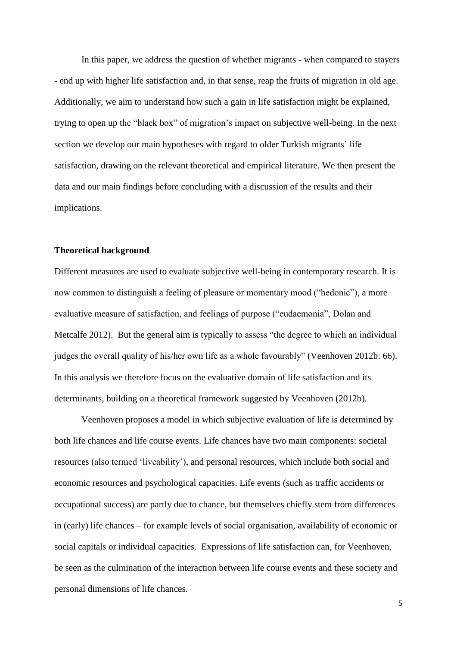In this paper, we address the question of whether migrants - when compared to stayers - end up with higher life satisfaction and, in that sense, reap the fruits of migration in old age. Additionally, we aim to understand how such a gain in life satisfaction might be explained, trying to open up the "black box" of migration's impact on subjective well-being. In the next section we develop our main hypotheses with regard to older Turkish migrants' life satisfaction, drawing on the relevant theoretical and empirical literature. We then present the data and our main findings before concluding with a discussion of the results and their implications.

#### **Theoretical background**

Different measures are used to evaluate subjective well-being in contemporary research. It is now common to distinguish a feeling of pleasure or momentary mood ("hedonic"), a more evaluative measure of satisfaction, and feelings of purpose ("eudaemonia", Dolan and Metcalfe 2012). But the general aim is typically to assess "the degree to which an individual judges the overall quality of his/her own life as a whole favourably" (Veenhoven 2012b: 66). In this analysis we therefore focus on the evaluative domain of life satisfaction and its determinants, building on a theoretical framework suggested by Veenhoven (2012b).

Veenhoven proposes a model in which subjective evaluation of life is determined by both life chances and life course events. Life chances have two main components: societal resources (also termed 'liveability'), and personal resources, which include both social and economic resources and psychological capacities. Life events (such as traffic accidents or occupational success) are partly due to chance, but themselves chiefly stem from differences in (early) life chances – for example levels of social organisation, availability of economic or social capitals or individual capacities. Expressions of life satisfaction can, for Veenhoven, be seen as the culmination of the interaction between life course events and these society and personal dimensions of life chances.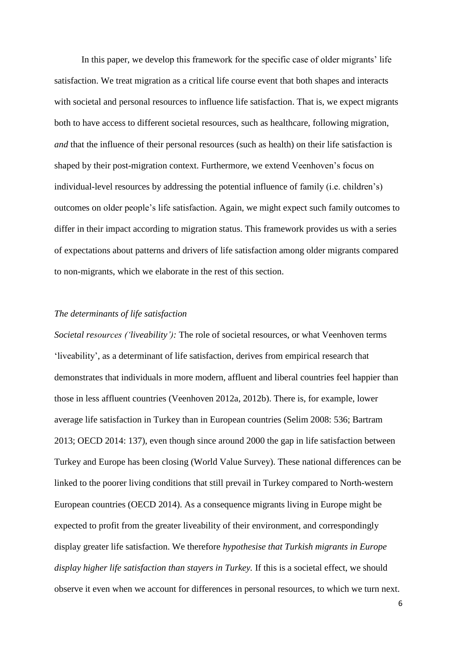In this paper, we develop this framework for the specific case of older migrants' life satisfaction. We treat migration as a critical life course event that both shapes and interacts with societal and personal resources to influence life satisfaction. That is, we expect migrants both to have access to different societal resources, such as healthcare, following migration, *and* that the influence of their personal resources (such as health) on their life satisfaction is shaped by their post-migration context. Furthermore, we extend Veenhoven's focus on individual-level resources by addressing the potential influence of family (i.e. children's) outcomes on older people's life satisfaction. Again, we might expect such family outcomes to differ in their impact according to migration status. This framework provides us with a series of expectations about patterns and drivers of life satisfaction among older migrants compared to non-migrants, which we elaborate in the rest of this section.

#### *The determinants of life satisfaction*

*Societal resources ('liveability'):* The role of societal resources, or what Veenhoven terms 'liveability', as a determinant of life satisfaction, derives from empirical research that demonstrates that individuals in more modern, affluent and liberal countries feel happier than those in less affluent countries (Veenhoven 2012a, 2012b). There is, for example, lower average life satisfaction in Turkey than in European countries (Selim 2008: 536; Bartram 2013; OECD 2014: 137), even though since around 2000 the gap in life satisfaction between Turkey and Europe has been closing (World Value Survey). These national differences can be linked to the poorer living conditions that still prevail in Turkey compared to North-western European countries (OECD 2014). As a consequence migrants living in Europe might be expected to profit from the greater liveability of their environment, and correspondingly display greater life satisfaction. We therefore *hypothesise that Turkish migrants in Europe display higher life satisfaction than stayers in Turkey.* If this is a societal effect, we should observe it even when we account for differences in personal resources, to which we turn next.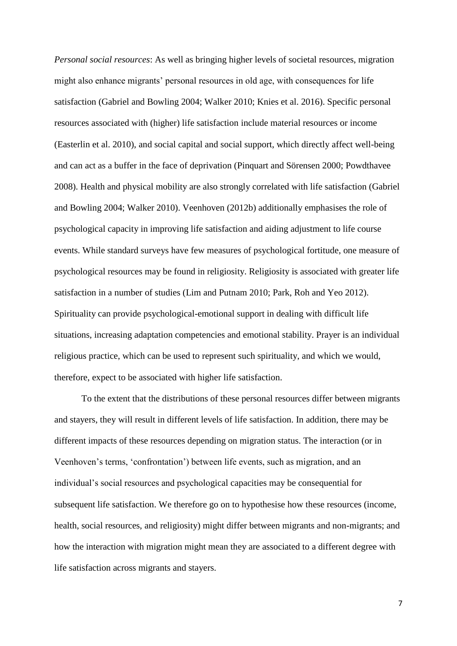*Personal social resources*: As well as bringing higher levels of societal resources, migration might also enhance migrants' personal resources in old age, with consequences for life satisfaction (Gabriel and Bowling 2004; Walker 2010; Knies et al. 2016). Specific personal resources associated with (higher) life satisfaction include material resources or income (Easterlin et al. 2010), and social capital and social support, which directly affect well-being and can act as a buffer in the face of deprivation (Pinquart and Sörensen 2000; Powdthavee 2008). Health and physical mobility are also strongly correlated with life satisfaction (Gabriel and Bowling 2004; Walker 2010). Veenhoven (2012b) additionally emphasises the role of psychological capacity in improving life satisfaction and aiding adjustment to life course events. While standard surveys have few measures of psychological fortitude, one measure of psychological resources may be found in religiosity. Religiosity is associated with greater life satisfaction in a number of studies (Lim and Putnam 2010; Park, Roh and Yeo 2012). Spirituality can provide psychological-emotional support in dealing with difficult life situations, increasing adaptation competencies and emotional stability. Prayer is an individual religious practice, which can be used to represent such spirituality, and which we would, therefore, expect to be associated with higher life satisfaction.

To the extent that the distributions of these personal resources differ between migrants and stayers, they will result in different levels of life satisfaction. In addition, there may be different impacts of these resources depending on migration status. The interaction (or in Veenhoven's terms, 'confrontation') between life events, such as migration, and an individual's social resources and psychological capacities may be consequential for subsequent life satisfaction. We therefore go on to hypothesise how these resources (income, health, social resources, and religiosity) might differ between migrants and non-migrants; and how the interaction with migration might mean they are associated to a different degree with life satisfaction across migrants and stayers.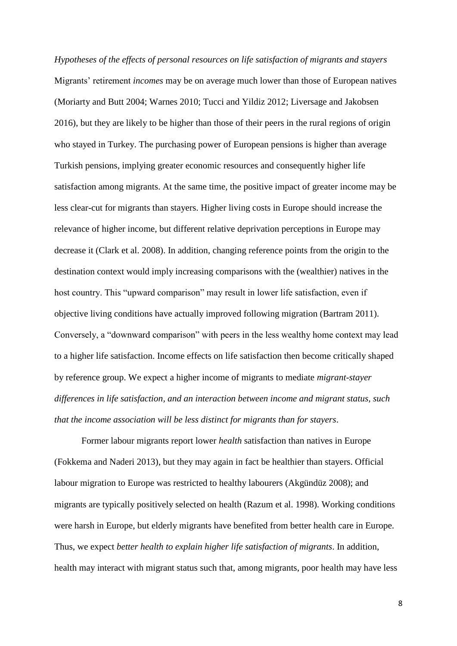*Hypotheses of the effects of personal resources on life satisfaction of migrants and stayers* Migrants' retirement *incomes* may be on average much lower than those of European natives (Moriarty and Butt 2004; Warnes 2010; Tucci and Yildiz 2012; Liversage and Jakobsen 2016), but they are likely to be higher than those of their peers in the rural regions of origin who stayed in Turkey. The purchasing power of European pensions is higher than average Turkish pensions, implying greater economic resources and consequently higher life satisfaction among migrants. At the same time, the positive impact of greater income may be less clear-cut for migrants than stayers. Higher living costs in Europe should increase the relevance of higher income, but different relative deprivation perceptions in Europe may decrease it (Clark et al. 2008). In addition, changing reference points from the origin to the destination context would imply increasing comparisons with the (wealthier) natives in the host country. This "upward comparison" may result in lower life satisfaction, even if objective living conditions have actually improved following migration (Bartram 2011). Conversely, a "downward comparison" with peers in the less wealthy home context may lead to a higher life satisfaction. Income effects on life satisfaction then become critically shaped by reference group. We expect a higher income of migrants to mediate *migrant-stayer differences in life satisfaction, and an interaction between income and migrant status, such that the income association will be less distinct for migrants than for stayers*.

Former labour migrants report lower *health* satisfaction than natives in Europe (Fokkema and Naderi 2013), but they may again in fact be healthier than stayers. Official labour migration to Europe was restricted to healthy labourers (Akgündüz 2008); and migrants are typically positively selected on health (Razum et al. 1998). Working conditions were harsh in Europe, but elderly migrants have benefited from better health care in Europe. Thus, we expect *better health to explain higher life satisfaction of migrants*. In addition, health may interact with migrant status such that, among migrants, poor health may have less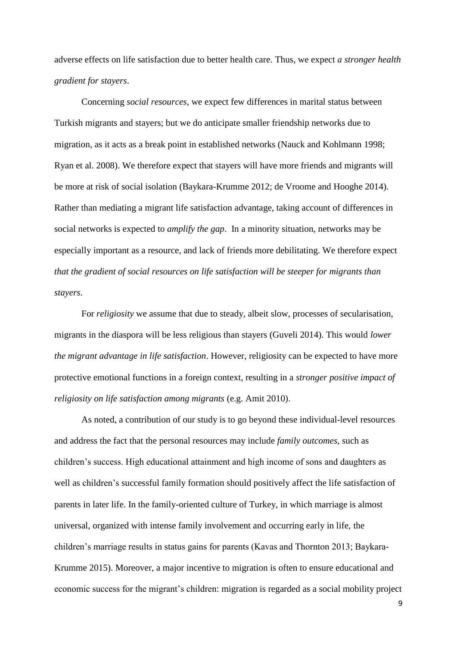adverse effects on life satisfaction due to better health care. Thus, we expect *a stronger health gradient for stayers*.

Concerning *social resources*, we expect few differences in marital status between Turkish migrants and stayers; but we do anticipate smaller friendship networks due to migration, as it acts as a break point in established networks (Nauck and Kohlmann 1998; Ryan et al. 2008). We therefore expect that stayers will have more friends and migrants will be more at risk of social isolation (Baykara-Krumme 2012; de Vroome and Hooghe 2014). Rather than mediating a migrant life satisfaction advantage, taking account of differences in social networks is expected to *amplify the gap*. In a minority situation, networks may be especially important as a resource, and lack of friends more debilitating. We therefore expect *that the gradient of social resources on life satisfaction will be steeper for migrants than stayers*.

For *religiosity* we assume that due to steady, albeit slow, processes of secularisation, migrants in the diaspora will be less religious than stayers (Guveli 2014). This would *lower the migrant advantage in life satisfaction*. However, religiosity can be expected to have more protective emotional functions in a foreign context, resulting in a *stronger positive impact of religiosity on life satisfaction among migrants* (e.g. Amit 2010).

As noted, a contribution of our study is to go beyond these individual-level resources and address the fact that the personal resources may include *family outcomes*, such as children's success. High educational attainment and high income of sons and daughters as well as children's successful family formation should positively affect the life satisfaction of parents in later life. In the family-oriented culture of Turkey, in which marriage is almost universal, organized with intense family involvement and occurring early in life, the children's marriage results in status gains for parents (Kavas and Thornton 2013; Baykara-Krumme 2015). Moreover, a major incentive to migration is often to ensure educational and economic success for the migrant's children: migration is regarded as a social mobility project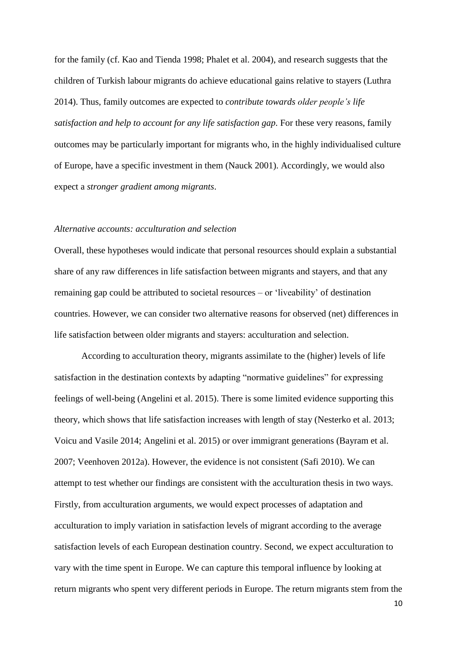for the family (cf. Kao and Tienda 1998; Phalet et al. 2004), and research suggests that the children of Turkish labour migrants do achieve educational gains relative to stayers (Luthra 2014). Thus, family outcomes are expected to *contribute towards older people's life satisfaction and help to account for any life satisfaction gap.* For these very reasons, family outcomes may be particularly important for migrants who, in the highly individualised culture of Europe, have a specific investment in them (Nauck 2001). Accordingly, we would also expect a *stronger gradient among migrants*.

#### *Alternative accounts: acculturation and selection*

Overall, these hypotheses would indicate that personal resources should explain a substantial share of any raw differences in life satisfaction between migrants and stayers, and that any remaining gap could be attributed to societal resources – or 'liveability' of destination countries. However, we can consider two alternative reasons for observed (net) differences in life satisfaction between older migrants and stayers: acculturation and selection.

According to acculturation theory, migrants assimilate to the (higher) levels of life satisfaction in the destination contexts by adapting "normative guidelines" for expressing feelings of well-being (Angelini et al. 2015). There is some limited evidence supporting this theory, which shows that life satisfaction increases with length of stay (Nesterko et al. 2013; Voicu and Vasile 2014; Angelini et al. 2015) or over immigrant generations (Bayram et al. 2007; Veenhoven 2012a). However, the evidence is not consistent (Safi 2010). We can attempt to test whether our findings are consistent with the acculturation thesis in two ways. Firstly, from acculturation arguments, we would expect processes of adaptation and acculturation to imply variation in satisfaction levels of migrant according to the average satisfaction levels of each European destination country. Second, we expect acculturation to vary with the time spent in Europe. We can capture this temporal influence by looking at return migrants who spent very different periods in Europe. The return migrants stem from the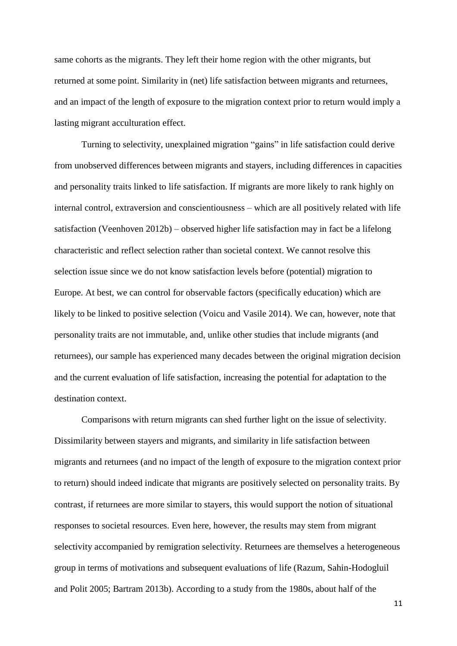same cohorts as the migrants. They left their home region with the other migrants, but returned at some point. Similarity in (net) life satisfaction between migrants and returnees, and an impact of the length of exposure to the migration context prior to return would imply a lasting migrant acculturation effect.

Turning to selectivity, unexplained migration "gains" in life satisfaction could derive from unobserved differences between migrants and stayers, including differences in capacities and personality traits linked to life satisfaction. If migrants are more likely to rank highly on internal control, extraversion and conscientiousness – which are all positively related with life satisfaction (Veenhoven 2012b) – observed higher life satisfaction may in fact be a lifelong characteristic and reflect selection rather than societal context. We cannot resolve this selection issue since we do not know satisfaction levels before (potential) migration to Europe. At best, we can control for observable factors (specifically education) which are likely to be linked to positive selection (Voicu and Vasile 2014). We can, however, note that personality traits are not immutable, and, unlike other studies that include migrants (and returnees), our sample has experienced many decades between the original migration decision and the current evaluation of life satisfaction, increasing the potential for adaptation to the destination context.

Comparisons with return migrants can shed further light on the issue of selectivity. Dissimilarity between stayers and migrants, and similarity in life satisfaction between migrants and returnees (and no impact of the length of exposure to the migration context prior to return) should indeed indicate that migrants are positively selected on personality traits. By contrast, if returnees are more similar to stayers, this would support the notion of situational responses to societal resources. Even here, however, the results may stem from migrant selectivity accompanied by remigration selectivity. Returnees are themselves a heterogeneous group in terms of motivations and subsequent evaluations of life (Razum, Sahin-Hodogluil and Polit 2005; Bartram 2013b). According to a study from the 1980s, about half of the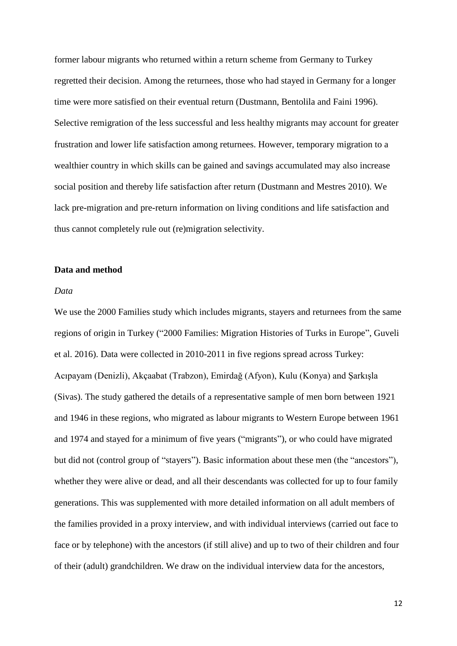former labour migrants who returned within a return scheme from Germany to Turkey regretted their decision. Among the returnees, those who had stayed in Germany for a longer time were more satisfied on their eventual return (Dustmann, Bentolila and Faini 1996). Selective remigration of the less successful and less healthy migrants may account for greater frustration and lower life satisfaction among returnees. However, temporary migration to a wealthier country in which skills can be gained and savings accumulated may also increase social position and thereby life satisfaction after return (Dustmann and Mestres 2010). We lack pre-migration and pre-return information on living conditions and life satisfaction and thus cannot completely rule out (re)migration selectivity.

#### **Data and method**

#### *Data*

We use the 2000 Families study which includes migrants, stayers and returnees from the same regions of origin in Turkey ("2000 Families: Migration Histories of Turks in Europe", Guveli et al. 2016). Data were collected in 2010-2011 in five regions spread across Turkey: Acıpayam (Denizli), Akçaabat (Trabzon), Emirdağ (Afyon), Kulu (Konya) and Şarkışla (Sivas). The study gathered the details of a representative sample of men born between 1921 and 1946 in these regions, who migrated as labour migrants to Western Europe between 1961 and 1974 and stayed for a minimum of five years ("migrants"), or who could have migrated but did not (control group of "stayers"). Basic information about these men (the "ancestors"), whether they were alive or dead, and all their descendants was collected for up to four family generations. This was supplemented with more detailed information on all adult members of the families provided in a proxy interview, and with individual interviews (carried out face to face or by telephone) with the ancestors (if still alive) and up to two of their children and four of their (adult) grandchildren. We draw on the individual interview data for the ancestors,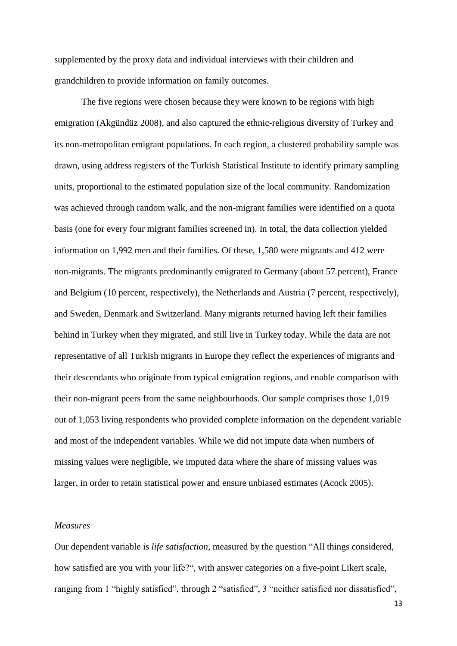supplemented by the proxy data and individual interviews with their children and grandchildren to provide information on family outcomes.

The five regions were chosen because they were known to be regions with high emigration (Akgündüz 2008), and also captured the ethnic-religious diversity of Turkey and its non-metropolitan emigrant populations. In each region, a clustered probability sample was drawn, using address registers of the Turkish Statistical Institute to identify primary sampling units, proportional to the estimated population size of the local community. Randomization was achieved through random walk, and the non-migrant families were identified on a quota basis (one for every four migrant families screened in). In total, the data collection yielded information on 1,992 men and their families. Of these, 1,580 were migrants and 412 were non-migrants. The migrants predominantly emigrated to Germany (about 57 percent), France and Belgium (10 percent, respectively), the Netherlands and Austria (7 percent, respectively), and Sweden, Denmark and Switzerland. Many migrants returned having left their families behind in Turkey when they migrated, and still live in Turkey today. While the data are not representative of all Turkish migrants in Europe they reflect the experiences of migrants and their descendants who originate from typical emigration regions, and enable comparison with their non-migrant peers from the same neighbourhoods. Our sample comprises those 1,019 out of 1,053 living respondents who provided complete information on the dependent variable and most of the independent variables. While we did not impute data when numbers of missing values were negligible, we imputed data where the share of missing values was larger, in order to retain statistical power and ensure unbiased estimates (Acock 2005).

#### *Measures*

Our dependent variable is *life satisfaction*, measured by the question "All things considered, how satisfied are you with your life?", with answer categories on a five-point Likert scale, ranging from 1 "highly satisfied", through 2 "satisfied", 3 "neither satisfied nor dissatisfied",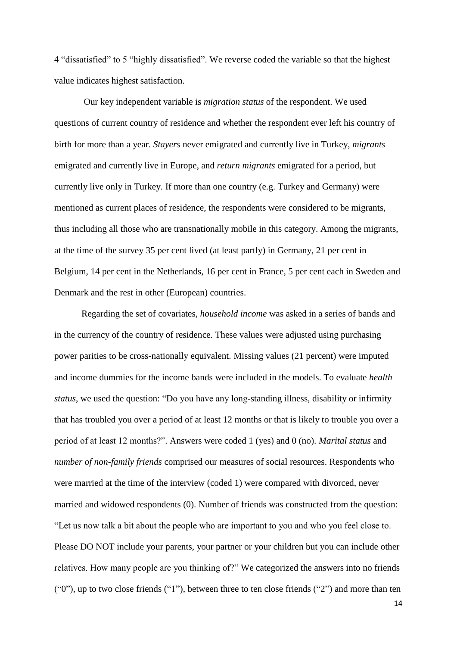4 "dissatisfied" to 5 "highly dissatisfied". We reverse coded the variable so that the highest value indicates highest satisfaction.

Our key independent variable is *migration status* of the respondent. We used questions of current country of residence and whether the respondent ever left his country of birth for more than a year. *Stayers* never emigrated and currently live in Turkey, *migrants* emigrated and currently live in Europe, and *return migrants* emigrated for a period, but currently live only in Turkey. If more than one country (e.g. Turkey and Germany) were mentioned as current places of residence, the respondents were considered to be migrants, thus including all those who are transnationally mobile in this category. Among the migrants, at the time of the survey 35 per cent lived (at least partly) in Germany, 21 per cent in Belgium, 14 per cent in the Netherlands, 16 per cent in France, 5 per cent each in Sweden and Denmark and the rest in other (European) countries.

Regarding the set of covariates, *household income* was asked in a series of bands and in the currency of the country of residence. These values were adjusted using purchasing power parities to be cross-nationally equivalent. Missing values (21 percent) were imputed and income dummies for the income bands were included in the models. To evaluate *health status*, we used the question: "Do you have any long-standing illness, disability or infirmity that has troubled you over a period of at least 12 months or that is likely to trouble you over a period of at least 12 months?". Answers were coded 1 (yes) and 0 (no). *Marital status* and *number of non-family friends* comprised our measures of social resources. Respondents who were married at the time of the interview (coded 1) were compared with divorced, never married and widowed respondents (0). Number of friends was constructed from the question: "Let us now talk a bit about the people who are important to you and who you feel close to. Please DO NOT include your parents, your partner or your children but you can include other relatives. How many people are you thinking of?" We categorized the answers into no friends ("0"), up to two close friends ("1"), between three to ten close friends ("2") and more than ten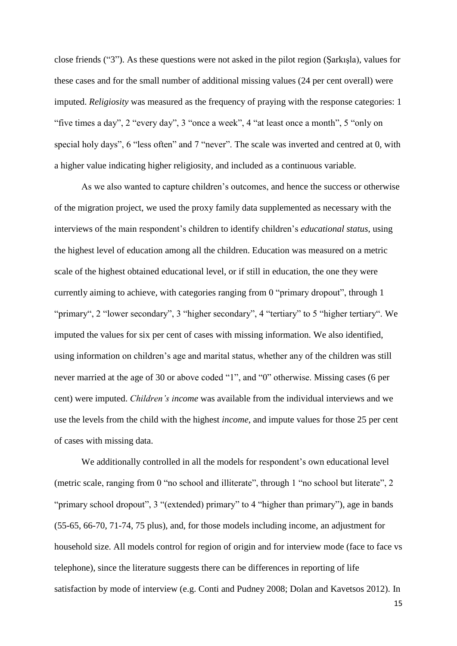close friends ("3"). As these questions were not asked in the pilot region (Şarkışla), values for these cases and for the small number of additional missing values (24 per cent overall) were imputed. *Religiosity* was measured as the frequency of praying with the response categories: 1 "five times a day", 2 "every day", 3 "once a week", 4 "at least once a month", 5 "only on special holy days", 6 "less often" and 7 "never". The scale was inverted and centred at 0, with a higher value indicating higher religiosity, and included as a continuous variable.

As we also wanted to capture children's outcomes, and hence the success or otherwise of the migration project, we used the proxy family data supplemented as necessary with the interviews of the main respondent's children to identify children's *educational status*, using the highest level of education among all the children. Education was measured on a metric scale of the highest obtained educational level, or if still in education, the one they were currently aiming to achieve, with categories ranging from 0 "primary dropout", through 1 "primary", 2 "lower secondary", 3 "higher secondary", 4 "tertiary" to 5 "higher tertiary". We imputed the values for six per cent of cases with missing information. We also identified, using information on children's age and marital status, whether any of the children was still never married at the age of 30 or above coded "1", and "0" otherwise. Missing cases (6 per cent) were imputed. *Children's income* was available from the individual interviews and we use the levels from the child with the highest *income*, and impute values for those 25 per cent of cases with missing data.

We additionally controlled in all the models for respondent's own educational level (metric scale, ranging from 0 "no school and illiterate", through 1 "no school but literate", 2 "primary school dropout", 3 "(extended) primary" to 4 "higher than primary"), age in bands (55-65, 66-70, 71-74, 75 plus), and, for those models including income, an adjustment for household size. All models control for region of origin and for interview mode (face to face vs telephone), since the literature suggests there can be differences in reporting of life satisfaction by mode of interview (e.g. Conti and Pudney 2008; Dolan and Kavetsos 2012). In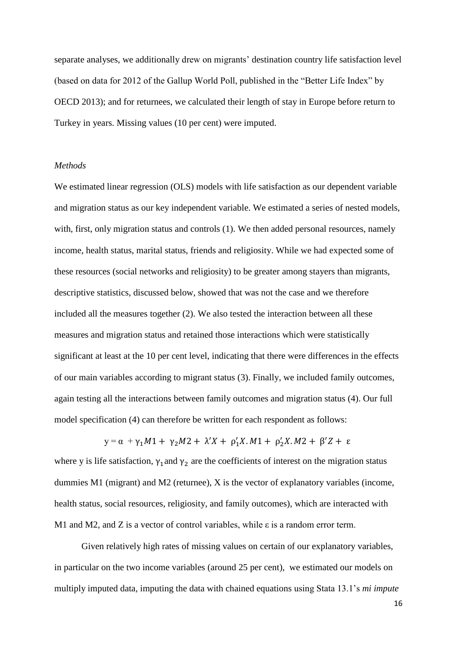separate analyses, we additionally drew on migrants' destination country life satisfaction level (based on data for 2012 of the Gallup World Poll, published in the "Better Life Index" by OECD 2013); and for returnees, we calculated their length of stay in Europe before return to Turkey in years. Missing values (10 per cent) were imputed.

#### *Methods*

We estimated linear regression (OLS) models with life satisfaction as our dependent variable and migration status as our key independent variable. We estimated a series of nested models, with, first, only migration status and controls (1). We then added personal resources, namely income, health status, marital status, friends and religiosity. While we had expected some of these resources (social networks and religiosity) to be greater among stayers than migrants, descriptive statistics, discussed below, showed that was not the case and we therefore included all the measures together (2). We also tested the interaction between all these measures and migration status and retained those interactions which were statistically significant at least at the 10 per cent level, indicating that there were differences in the effects of our main variables according to migrant status (3). Finally, we included family outcomes, again testing all the interactions between family outcomes and migration status (4). Our full model specification (4) can therefore be written for each respondent as follows:

$$
y = \alpha + \gamma_1 M 1 + \gamma_2 M 2 + \lambda' X + \rho'_1 X. M 1 + \rho'_2 X. M 2 + \beta' Z + \epsilon
$$

where y is life satisfaction,  $\gamma_1$  and  $\gamma_2$  are the coefficients of interest on the migration status dummies M1 (migrant) and M2 (returnee), X is the vector of explanatory variables (income, health status, social resources, religiosity, and family outcomes), which are interacted with M1 and M2, and Z is a vector of control variables, while ε is a random error term.

Given relatively high rates of missing values on certain of our explanatory variables, in particular on the two income variables (around 25 per cent), we estimated our models on multiply imputed data, imputing the data with chained equations using Stata 13.1's *mi impute*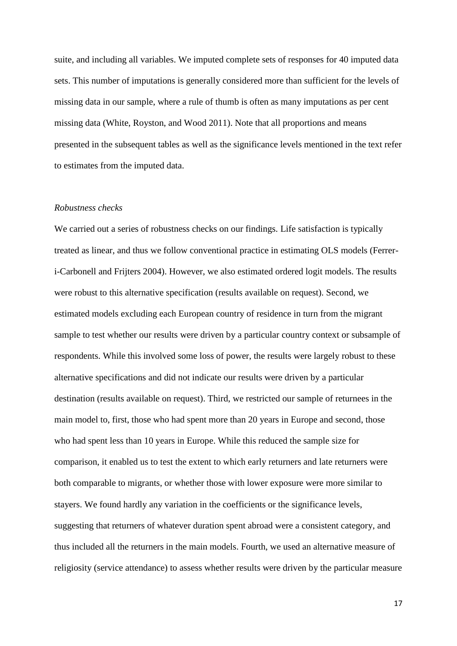suite, and including all variables. We imputed complete sets of responses for 40 imputed data sets. This number of imputations is generally considered more than sufficient for the levels of missing data in our sample, where a rule of thumb is often as many imputations as per cent missing data (White, Royston, and Wood 2011). Note that all proportions and means presented in the subsequent tables as well as the significance levels mentioned in the text refer to estimates from the imputed data.

#### *Robustness checks*

We carried out a series of robustness checks on our findings. Life satisfaction is typically treated as linear, and thus we follow conventional practice in estimating OLS models (Ferreri-Carbonell and Frijters 2004). However, we also estimated ordered logit models. The results were robust to this alternative specification (results available on request). Second, we estimated models excluding each European country of residence in turn from the migrant sample to test whether our results were driven by a particular country context or subsample of respondents. While this involved some loss of power, the results were largely robust to these alternative specifications and did not indicate our results were driven by a particular destination (results available on request). Third, we restricted our sample of returnees in the main model to, first, those who had spent more than 20 years in Europe and second, those who had spent less than 10 years in Europe. While this reduced the sample size for comparison, it enabled us to test the extent to which early returners and late returners were both comparable to migrants, or whether those with lower exposure were more similar to stayers. We found hardly any variation in the coefficients or the significance levels, suggesting that returners of whatever duration spent abroad were a consistent category, and thus included all the returners in the main models. Fourth, we used an alternative measure of religiosity (service attendance) to assess whether results were driven by the particular measure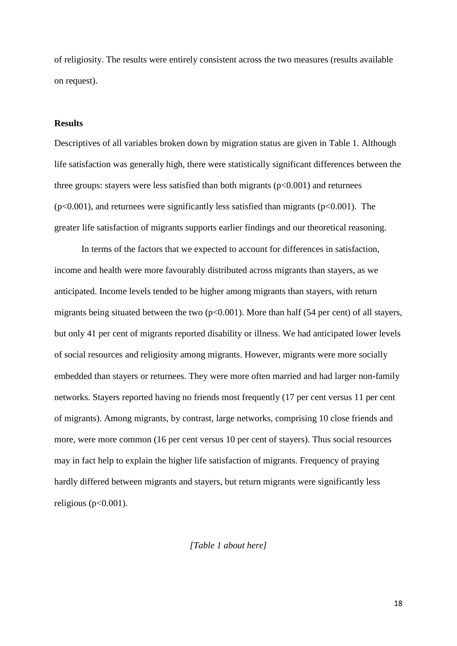of religiosity. The results were entirely consistent across the two measures (results available on request).

#### **Results**

Descriptives of all variables broken down by migration status are given in Table 1. Although life satisfaction was generally high, there were statistically significant differences between the three groups: stayers were less satisfied than both migrants  $(p<0.001)$  and returnees  $(p<0.001)$ , and returnees were significantly less satisfied than migrants ( $p<0.001$ ). The greater life satisfaction of migrants supports earlier findings and our theoretical reasoning.

In terms of the factors that we expected to account for differences in satisfaction, income and health were more favourably distributed across migrants than stayers, as we anticipated. Income levels tended to be higher among migrants than stayers, with return migrants being situated between the two ( $p<0.001$ ). More than half (54 per cent) of all stayers, but only 41 per cent of migrants reported disability or illness. We had anticipated lower levels of social resources and religiosity among migrants. However, migrants were more socially embedded than stayers or returnees. They were more often married and had larger non-family networks. Stayers reported having no friends most frequently (17 per cent versus 11 per cent of migrants). Among migrants, by contrast, large networks, comprising 10 close friends and more, were more common (16 per cent versus 10 per cent of stayers). Thus social resources may in fact help to explain the higher life satisfaction of migrants. Frequency of praying hardly differed between migrants and stayers, but return migrants were significantly less religious ( $p<0.001$ ).

#### *[Table 1 about here]*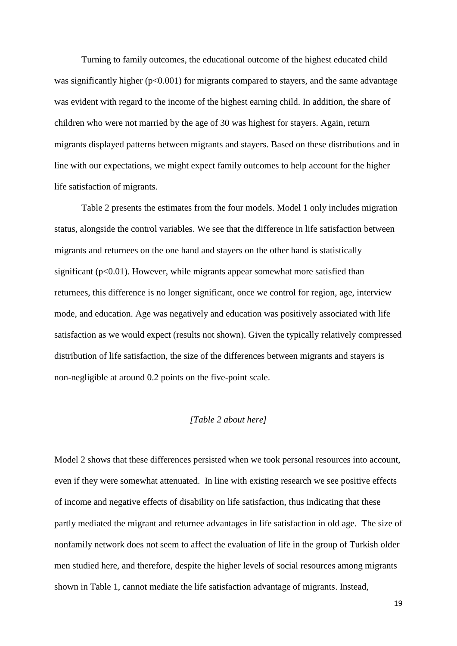Turning to family outcomes, the educational outcome of the highest educated child was significantly higher  $(p<0.001)$  for migrants compared to stayers, and the same advantage was evident with regard to the income of the highest earning child. In addition, the share of children who were not married by the age of 30 was highest for stayers. Again, return migrants displayed patterns between migrants and stayers. Based on these distributions and in line with our expectations, we might expect family outcomes to help account for the higher life satisfaction of migrants.

Table 2 presents the estimates from the four models. Model 1 only includes migration status, alongside the control variables. We see that the difference in life satisfaction between migrants and returnees on the one hand and stayers on the other hand is statistically significant ( $p<0.01$ ). However, while migrants appear somewhat more satisfied than returnees, this difference is no longer significant, once we control for region, age, interview mode, and education. Age was negatively and education was positively associated with life satisfaction as we would expect (results not shown). Given the typically relatively compressed distribution of life satisfaction, the size of the differences between migrants and stayers is non-negligible at around 0.2 points on the five-point scale.

#### *[Table 2 about here]*

Model 2 shows that these differences persisted when we took personal resources into account, even if they were somewhat attenuated. In line with existing research we see positive effects of income and negative effects of disability on life satisfaction, thus indicating that these partly mediated the migrant and returnee advantages in life satisfaction in old age. The size of nonfamily network does not seem to affect the evaluation of life in the group of Turkish older men studied here, and therefore, despite the higher levels of social resources among migrants shown in Table 1, cannot mediate the life satisfaction advantage of migrants. Instead,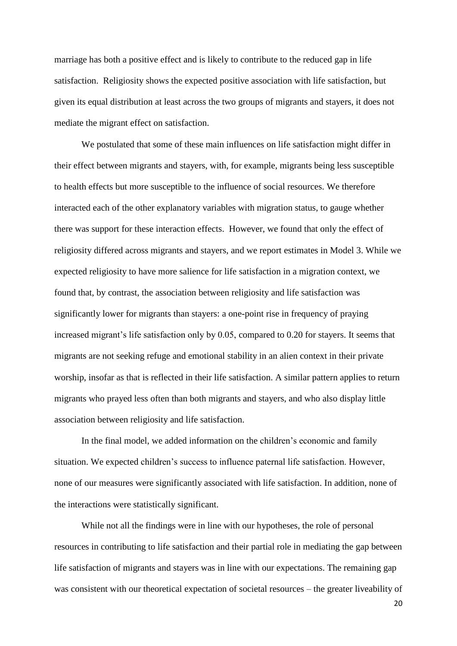marriage has both a positive effect and is likely to contribute to the reduced gap in life satisfaction. Religiosity shows the expected positive association with life satisfaction, but given its equal distribution at least across the two groups of migrants and stayers, it does not mediate the migrant effect on satisfaction.

We postulated that some of these main influences on life satisfaction might differ in their effect between migrants and stayers, with, for example, migrants being less susceptible to health effects but more susceptible to the influence of social resources. We therefore interacted each of the other explanatory variables with migration status, to gauge whether there was support for these interaction effects. However, we found that only the effect of religiosity differed across migrants and stayers, and we report estimates in Model 3. While we expected religiosity to have more salience for life satisfaction in a migration context, we found that, by contrast, the association between religiosity and life satisfaction was significantly lower for migrants than stayers: a one-point rise in frequency of praying increased migrant's life satisfaction only by 0.05, compared to 0.20 for stayers. It seems that migrants are not seeking refuge and emotional stability in an alien context in their private worship, insofar as that is reflected in their life satisfaction. A similar pattern applies to return migrants who prayed less often than both migrants and stayers, and who also display little association between religiosity and life satisfaction.

In the final model, we added information on the children's economic and family situation. We expected children's success to influence paternal life satisfaction. However, none of our measures were significantly associated with life satisfaction. In addition, none of the interactions were statistically significant.

While not all the findings were in line with our hypotheses, the role of personal resources in contributing to life satisfaction and their partial role in mediating the gap between life satisfaction of migrants and stayers was in line with our expectations. The remaining gap was consistent with our theoretical expectation of societal resources – the greater liveability of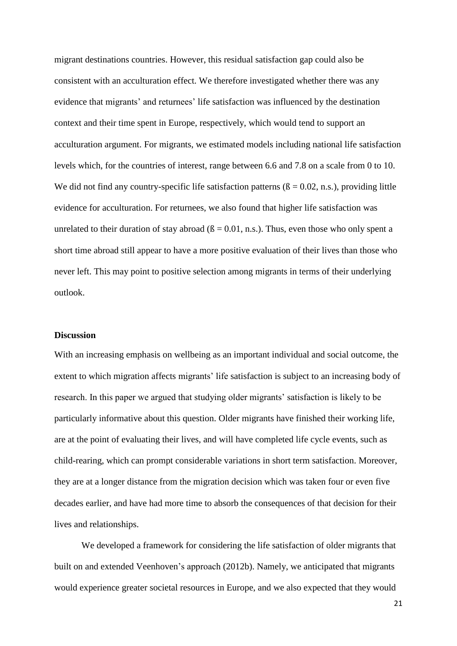migrant destinations countries. However, this residual satisfaction gap could also be consistent with an acculturation effect. We therefore investigated whether there was any evidence that migrants' and returnees' life satisfaction was influenced by the destination context and their time spent in Europe, respectively, which would tend to support an acculturation argument. For migrants, we estimated models including national life satisfaction levels which, for the countries of interest, range between 6.6 and 7.8 on a scale from 0 to 10. We did not find any country-specific life satisfaction patterns  $(\beta = 0.02, n.s.)$ , providing little evidence for acculturation. For returnees, we also found that higher life satisfaction was unrelated to their duration of stay abroad  $(\beta = 0.01, n.s.)$ . Thus, even those who only spent a short time abroad still appear to have a more positive evaluation of their lives than those who never left. This may point to positive selection among migrants in terms of their underlying outlook.

#### **Discussion**

With an increasing emphasis on wellbeing as an important individual and social outcome, the extent to which migration affects migrants' life satisfaction is subject to an increasing body of research. In this paper we argued that studying older migrants' satisfaction is likely to be particularly informative about this question. Older migrants have finished their working life, are at the point of evaluating their lives, and will have completed life cycle events, such as child-rearing, which can prompt considerable variations in short term satisfaction. Moreover, they are at a longer distance from the migration decision which was taken four or even five decades earlier, and have had more time to absorb the consequences of that decision for their lives and relationships.

We developed a framework for considering the life satisfaction of older migrants that built on and extended Veenhoven's approach (2012b). Namely, we anticipated that migrants would experience greater societal resources in Europe, and we also expected that they would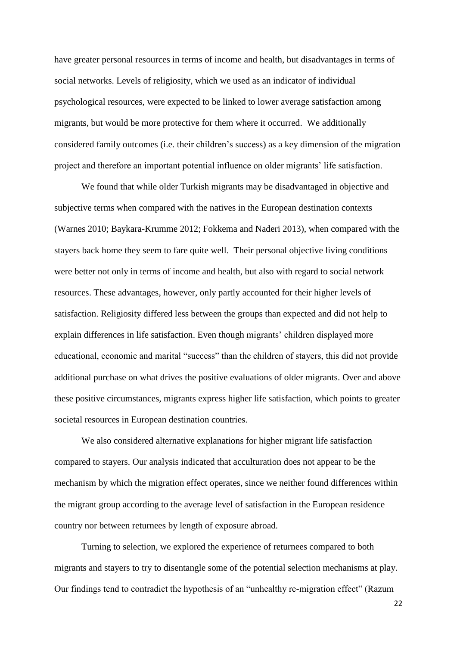have greater personal resources in terms of income and health, but disadvantages in terms of social networks. Levels of religiosity, which we used as an indicator of individual psychological resources, were expected to be linked to lower average satisfaction among migrants, but would be more protective for them where it occurred. We additionally considered family outcomes (i.e. their children's success) as a key dimension of the migration project and therefore an important potential influence on older migrants' life satisfaction.

We found that while older Turkish migrants may be disadvantaged in objective and subjective terms when compared with the natives in the European destination contexts (Warnes 2010; Baykara-Krumme 2012; Fokkema and Naderi 2013), when compared with the stayers back home they seem to fare quite well. Their personal objective living conditions were better not only in terms of income and health, but also with regard to social network resources. These advantages, however, only partly accounted for their higher levels of satisfaction. Religiosity differed less between the groups than expected and did not help to explain differences in life satisfaction. Even though migrants' children displayed more educational, economic and marital "success" than the children of stayers, this did not provide additional purchase on what drives the positive evaluations of older migrants. Over and above these positive circumstances, migrants express higher life satisfaction, which points to greater societal resources in European destination countries.

We also considered alternative explanations for higher migrant life satisfaction compared to stayers. Our analysis indicated that acculturation does not appear to be the mechanism by which the migration effect operates, since we neither found differences within the migrant group according to the average level of satisfaction in the European residence country nor between returnees by length of exposure abroad.

Turning to selection, we explored the experience of returnees compared to both migrants and stayers to try to disentangle some of the potential selection mechanisms at play. Our findings tend to contradict the hypothesis of an "unhealthy re-migration effect" (Razum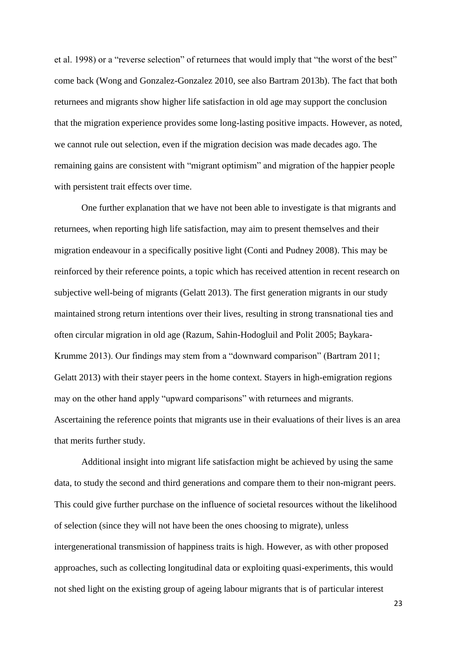et al. 1998) or a "reverse selection" of returnees that would imply that "the worst of the best" come back (Wong and Gonzalez-Gonzalez 2010, see also Bartram 2013b). The fact that both returnees and migrants show higher life satisfaction in old age may support the conclusion that the migration experience provides some long-lasting positive impacts. However, as noted, we cannot rule out selection, even if the migration decision was made decades ago. The remaining gains are consistent with "migrant optimism" and migration of the happier people with persistent trait effects over time.

One further explanation that we have not been able to investigate is that migrants and returnees, when reporting high life satisfaction, may aim to present themselves and their migration endeavour in a specifically positive light (Conti and Pudney 2008). This may be reinforced by their reference points, a topic which has received attention in recent research on subjective well-being of migrants (Gelatt 2013). The first generation migrants in our study maintained strong return intentions over their lives, resulting in strong transnational ties and often circular migration in old age (Razum, Sahin-Hodogluil and Polit 2005; Baykara-Krumme 2013). Our findings may stem from a "downward comparison" (Bartram 2011; Gelatt 2013) with their stayer peers in the home context. Stayers in high-emigration regions may on the other hand apply "upward comparisons" with returnees and migrants. Ascertaining the reference points that migrants use in their evaluations of their lives is an area that merits further study.

Additional insight into migrant life satisfaction might be achieved by using the same data, to study the second and third generations and compare them to their non-migrant peers. This could give further purchase on the influence of societal resources without the likelihood of selection (since they will not have been the ones choosing to migrate), unless intergenerational transmission of happiness traits is high. However, as with other proposed approaches, such as collecting longitudinal data or exploiting quasi-experiments, this would not shed light on the existing group of ageing labour migrants that is of particular interest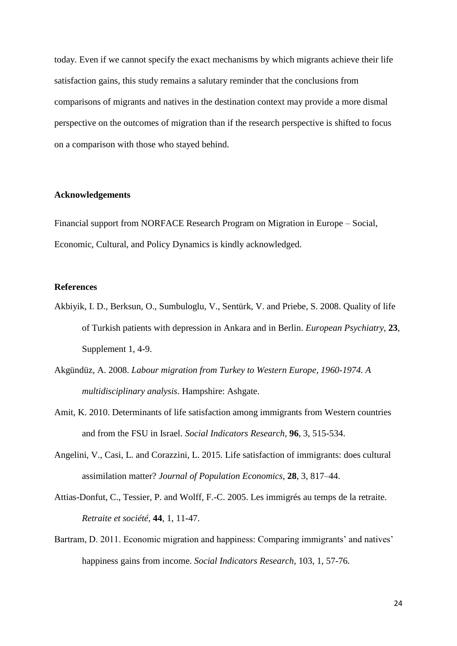today. Even if we cannot specify the exact mechanisms by which migrants achieve their life satisfaction gains, this study remains a salutary reminder that the conclusions from comparisons of migrants and natives in the destination context may provide a more dismal perspective on the outcomes of migration than if the research perspective is shifted to focus on a comparison with those who stayed behind.

#### **Acknowledgements**

Financial support from NORFACE Research Program on Migration in Europe – Social, Economic, Cultural, and Policy Dynamics is kindly acknowledged.

#### **References**

- Akbiyik, I. D., Berksun, O., Sumbuloglu, V., Sentürk, V. and Priebe, S. 2008. Quality of life of Turkish patients with depression in Ankara and in Berlin. *European Psychiatry,* **23**, Supplement 1, 4-9.
- Akgündüz, A. 2008. *Labour migration from Turkey to Western Europe, 1960-1974. A multidisciplinary analysis*. Hampshire: Ashgate.
- Amit, K. 2010. Determinants of life satisfaction among immigrants from Western countries and from the FSU in Israel. *Social Indicators Research*, **96**, 3, 515-534.
- Angelini, V., Casi, L. and Corazzini, L. 2015. Life satisfaction of immigrants: does cultural assimilation matter? *Journal of Population Economics*, **28**, 3, 817–44.
- Attias-Donfut, C., Tessier, P. and Wolff, F.-C. 2005. Les immigrés au temps de la retraite. *Retraite et société,* **44**, 1, 11-47.
- Bartram, D. 2011. Economic migration and happiness: Comparing immigrants' and natives' happiness gains from income. *Social Indicators Research,* 103, 1, 57-76.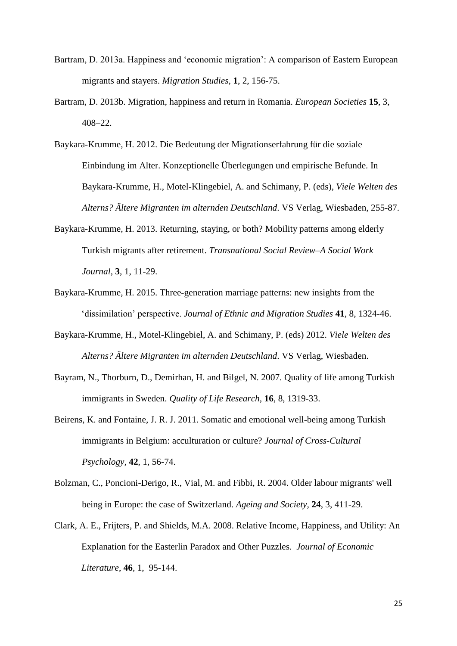- Bartram, D. 2013a. Happiness and 'economic migration': A comparison of Eastern European migrants and stayers. *Migration Studies,* **1**, 2, 156-75.
- Bartram, D. 2013b. Migration, happiness and return in Romania. *European Societies* **15**, 3, 408–22.
- Baykara-Krumme, H. 2012. Die Bedeutung der Migrationserfahrung für die soziale Einbindung im Alter. Konzeptionelle Überlegungen und empirische Befunde. In Baykara-Krumme, H., Motel-Klingebiel, A. and Schimany, P. (eds), *Viele Welten des Alterns? Ältere Migranten im alternden Deutschland*. VS Verlag, Wiesbaden, 255-87.
- Baykara-Krumme, H. 2013. Returning, staying, or both? Mobility patterns among elderly Turkish migrants after retirement. *Transnational Social Review–A Social Work Journal,* **3**, 1, 11-29.
- Baykara-Krumme, H. 2015. Three-generation marriage patterns: new insights from the 'dissimilation' perspective. *Journal of Ethnic and Migration Studies* **41**, 8, 1324-46.
- Baykara-Krumme, H., Motel-Klingebiel, A. and Schimany, P. (eds) 2012. *Viele Welten des Alterns? Ältere Migranten im alternden Deutschland*. VS Verlag, Wiesbaden.
- Bayram, N., Thorburn, D., Demirhan, H. and Bilgel, N. 2007. Quality of life among Turkish immigrants in Sweden. *Quality of Life Research,* **16**, 8, 1319-33.
- Beirens, K. and Fontaine, J. R. J. 2011. Somatic and emotional well-being among Turkish immigrants in Belgium: acculturation or culture? *Journal of Cross-Cultural Psychology,* **42**, 1, 56-74.
- Bolzman, C., Poncioni-Derigo, R., Vial, M. and Fibbi, R. 2004. Older labour migrants' well being in Europe: the case of Switzerland. *Ageing and Society,* **24**, 3, 411-29.
- Clark, A. E., Frijters, P. and Shields, M.A. 2008. Relative Income, Happiness, and Utility: An Explanation for the Easterlin Paradox and Other Puzzles. *Journal of Economic Literature*, **46**, 1, 95-144.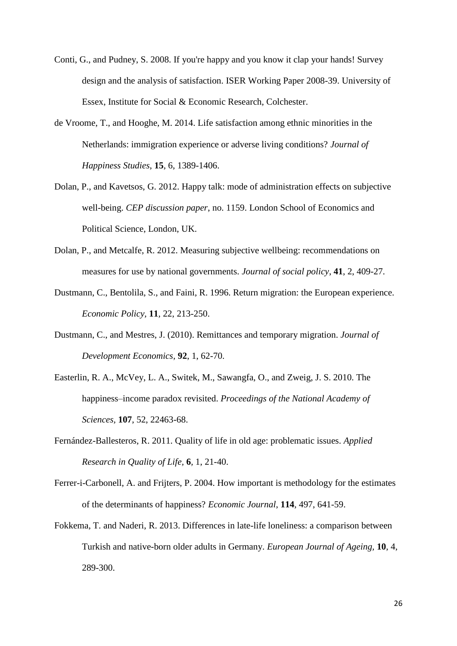- Conti, G., and Pudney, S. 2008. If you're happy and you know it clap your hands! Survey design and the analysis of satisfaction. ISER Working Paper 2008-39. University of Essex, Institute for Social & Economic Research, Colchester.
- de Vroome, T., and Hooghe, M. 2014. Life satisfaction among ethnic minorities in the Netherlands: immigration experience or adverse living conditions? *Journal of Happiness Studies*, **15**, 6, 1389-1406.
- Dolan, P., and Kavetsos, G. 2012. Happy talk: mode of administration effects on subjective well-being. *CEP discussion paper*, no. 1159. London School of Economics and Political Science, London, UK.
- Dolan, P., and Metcalfe, R. 2012. Measuring subjective wellbeing: recommendations on measures for use by national governments. *Journal of social policy*, **41**, 2, 409-27.
- Dustmann, C., Bentolila, S., and Faini, R. 1996. Return migration: the European experience. *Economic Policy,* **11***,* 22, 213-250.
- Dustmann, C., and Mestres, J. (2010). Remittances and temporary migration. *Journal of Development Economics,* **92**, 1, 62-70.
- Easterlin, R. A., McVey, L. A., Switek, M., Sawangfa, O., and Zweig, J. S. 2010. The happiness–income paradox revisited. *Proceedings of the National Academy of Sciences,* **107**, 52, 22463-68.
- Fernández-Ballesteros, R. 2011. Quality of life in old age: problematic issues. *Applied Research in Quality of Life,* **6***,* 1, 21-40.
- Ferrer-i-Carbonell, A. and Frijters, P. 2004. How important is methodology for the estimates of the determinants of happiness? *Economic Journal*, **114**, 497, 641-59.
- Fokkema, T. and Naderi, R. 2013. Differences in late-life loneliness: a comparison between Turkish and native-born older adults in Germany. *European Journal of Ageing,* **10**, 4, 289-300.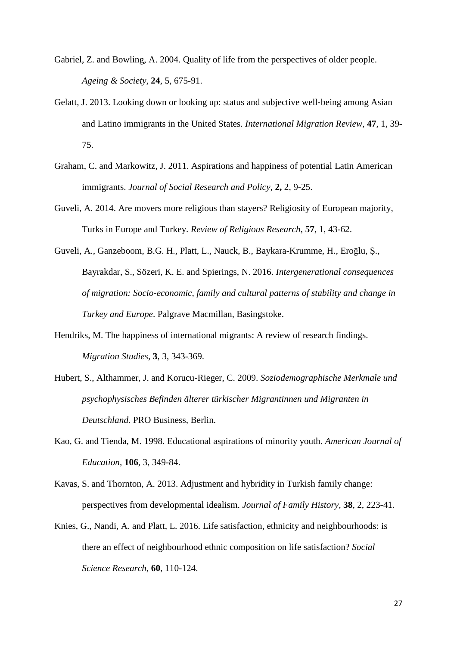- Gabriel, Z. and Bowling, A. 2004. Quality of life from the perspectives of older people. *Ageing & Society,* **24**, 5, 675-91.
- Gelatt, J. 2013. Looking down or looking up: status and subjective well‐being among Asian and Latino immigrants in the United States. *International Migration Review,* **47**, 1, 39- 75.
- Graham, C. and Markowitz, J. 2011. Aspirations and happiness of potential Latin American immigrants. *Journal of Social Research and Policy,* **2,** 2, 9-25.
- Guveli, A. 2014. Are movers more religious than stayers? Religiosity of European majority, Turks in Europe and Turkey. *Review of Religious Research*, **57**, 1, 43-62.
- Guveli, A., Ganzeboom, B.G. H., Platt, L., Nauck, B., Baykara-Krumme, H., Eroḡlu, Ṣ., Bayrakdar, S., Sözeri, K. E. and Spierings, N. 2016. *Intergenerational consequences of migration: Socio-economic, family and cultural patterns of stability and change in Turkey and Europe*. Palgrave Macmillan, Basingstoke.
- Hendriks, M. The happiness of international migrants: A review of research findings. *Migration Studies,* **3**, 3, 343-369.
- Hubert, S., Althammer, J. and Korucu-Rieger, C. 2009. *Soziodemographische Merkmale und psychophysisches Befinden älterer türkischer Migrantinnen und Migranten in Deutschland*. PRO Business, Berlin.
- Kao, G. and Tienda, M. 1998. Educational aspirations of minority youth. *American Journal of Education,* **106**, 3, 349-84.
- Kavas, S. and Thornton, A. 2013. Adjustment and hybridity in Turkish family change: perspectives from developmental idealism. *Journal of Family History,* **38***,* 2, 223-41.
- Knies, G., Nandi, A. and Platt, L. 2016. Life satisfaction, ethnicity and neighbourhoods: is there an effect of neighbourhood ethnic composition on life satisfaction? *Social Science Research*, **60**, 110-124.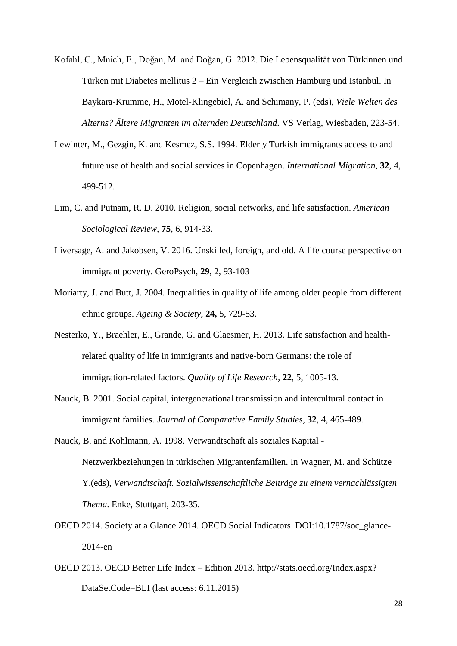- Kofahl, C., Mnich, E., Doğan, M. and Doğan, G. 2012. Die Lebensqualität von Türkinnen und Türken mit Diabetes mellitus 2 – Ein Vergleich zwischen Hamburg und Istanbul. In Baykara-Krumme, H., Motel-Klingebiel, A. and Schimany, P. (eds), *Viele Welten des Alterns? Ältere Migranten im alternden Deutschland*. VS Verlag, Wiesbaden, 223-54.
- Lewinter, M., Gezgin, K. and Kesmez, S.S. 1994. Elderly Turkish immigrants access to and future use of health and social services in Copenhagen. *International Migration,* **32**, 4, 499-512.
- Lim, C. and Putnam, R. D. 2010. Religion, social networks, and life satisfaction. *American Sociological Review,* **75**, 6, 914-33.
- Liversage, A. and Jakobsen, V. 2016. Unskilled, foreign, and old. A life course perspective on immigrant poverty. GeroPsych, **29**, 2, 93-103
- Moriarty, J. and Butt, J. 2004. Inequalities in quality of life among older people from different ethnic groups. *Ageing & Society,* **24,** 5, 729-53.
- Nesterko, Y., Braehler, E., Grande, G. and Glaesmer, H. 2013. Life satisfaction and healthrelated quality of life in immigrants and native-born Germans: the role of immigration-related factors. *Quality of Life Research,* **22**, 5, 1005-13.
- Nauck, B. 2001. Social capital, intergenerational transmission and intercultural contact in immigrant families. *Journal of Comparative Family Studies*, **32**, 4, 465-489.
- Nauck, B. and Kohlmann, A. 1998. Verwandtschaft als soziales Kapital Netzwerkbeziehungen in türkischen Migrantenfamilien. In Wagner, M. and Schütze Y.(eds), *Verwandtschaft. Sozialwissenschaftliche Beiträge zu einem vernachlässigten Thema*. Enke, Stuttgart, 203-35.
- OECD 2014. Society at a Glance 2014. OECD Social Indicators. DOI[:10.1787/soc\\_glance-](http://dx.doi.org/10.1787/soc_glance-2014-en)[2014-en](http://dx.doi.org/10.1787/soc_glance-2014-en)
- OECD 2013. OECD Better Life Index Edition 2013. http://stats.oecd.org/Index.aspx? DataSetCode=BLI (last access: 6.11.2015)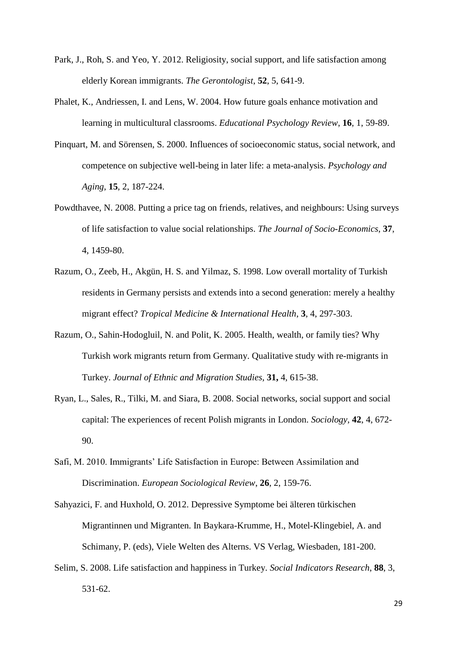- Park, J., Roh, S. and Yeo, Y. 2012. Religiosity, social support, and life satisfaction among elderly Korean immigrants. *The Gerontologist*, **52**, 5, 641-9.
- Phalet, K., Andriessen, I. and Lens, W. 2004. How future goals enhance motivation and learning in multicultural classrooms. *Educational Psychology Review*, **16**, 1, 59-89.
- Pinquart, M. and Sörensen, S. 2000. Influences of socioeconomic status, social network, and competence on subjective well-being in later life: a meta-analysis. *Psychology and Aging*, **15**, 2, 187-224.
- Powdthavee, N. 2008. Putting a price tag on friends, relatives, and neighbours: Using surveys of life satisfaction to value social relationships. *The Journal of Socio-Economics*, **37**, 4, 1459-80.
- Razum, O., Zeeb, H., Akgün, H. S. and Yilmaz, S. 1998. Low overall mortality of Turkish residents in Germany persists and extends into a second generation: merely a healthy migrant effect? *Tropical Medicine & International Health*, **3**, 4, 297-303.
- Razum, O., Sahin-Hodogluil, N. and Polit, K. 2005. Health, wealth, or family ties? Why Turkish work migrants return from Germany. Qualitative study with re-migrants in Turkey. *Journal of Ethnic and Migration Studies,* **31,** 4, 615-38.
- Ryan, L., Sales, R., Tilki, M. and Siara, B. 2008. Social networks, social support and social capital: The experiences of recent Polish migrants in London. *Sociology*, **42**, 4, 672- 90.
- Safi, M. 2010. Immigrants' Life Satisfaction in Europe: Between Assimilation and Discrimination. *European Sociological Review*, **26**, 2, 159-76.
- Sahyazici, F. and Huxhold, O. 2012. Depressive Symptome bei älteren türkischen Migrantinnen und Migranten. In Baykara-Krumme, H., Motel-Klingebiel, A. and Schimany, P. (eds), Viele Welten des Alterns. VS Verlag, Wiesbaden, 181-200.
- Selim, S. 2008. Life satisfaction and happiness in Turkey. *Social Indicators Research*, **88**, 3, 531-62.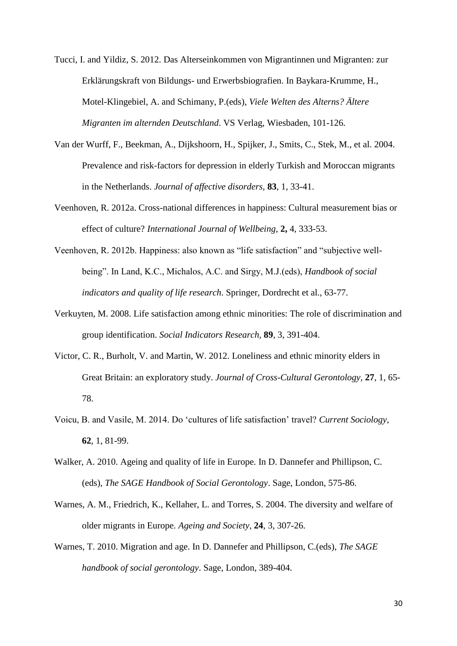- Tucci, I. and Yildiz, S. 2012. Das Alterseinkommen von Migrantinnen und Migranten: zur Erklärungskraft von Bildungs- und Erwerbsbiografien. In Baykara-Krumme, H., Motel-Klingebiel, A. and Schimany, P.(eds), *Viele Welten des Alterns? Ältere Migranten im alternden Deutschland*. VS Verlag, Wiesbaden, 101-126.
- Van der Wurff, F., Beekman, A., Dijkshoorn, H., Spijker, J., Smits, C., Stek, M., et al. 2004. Prevalence and risk-factors for depression in elderly Turkish and Moroccan migrants in the Netherlands. *Journal of affective disorders,* **83**, 1, 33-41.
- Veenhoven, R. 2012a. Cross-national differences in happiness: Cultural measurement bias or effect of culture? *International Journal of Wellbeing,* **2,** 4, 333-53.
- Veenhoven, R. 2012b. Happiness: also known as "life satisfaction" and "subjective wellbeing". In Land, K.C., Michalos, A.C. and Sirgy, M.J.(eds), *Handbook of social indicators and quality of life research*. Springer, Dordrecht et al., 63-77.
- Verkuyten, M. 2008. Life satisfaction among ethnic minorities: The role of discrimination and group identification. *Social Indicators Research,* **89***,* 3, 391-404.
- Victor, C. R., Burholt, V. and Martin, W. 2012. Loneliness and ethnic minority elders in Great Britain: an exploratory study. *Journal of Cross-Cultural Gerontology,* **27**, 1, 65- 78.
- Voicu, B. and Vasile, M. 2014. Do 'cultures of life satisfaction' travel? *Current Sociology,*  **62**, 1, 81-99.
- Walker, A. 2010. Ageing and quality of life in Europe. In D. Dannefer and Phillipson, C. (eds), *The SAGE Handbook of Social Gerontology*. Sage, London, 575-86.
- Warnes, A. M., Friedrich, K., Kellaher, L. and Torres, S. 2004. The diversity and welfare of older migrants in Europe. *Ageing and Society,* **24**, 3, 307-26.
- Warnes, T. 2010. Migration and age. In D. Dannefer and Phillipson, C.(eds), *The SAGE handbook of social gerontology*. Sage, London, 389-404.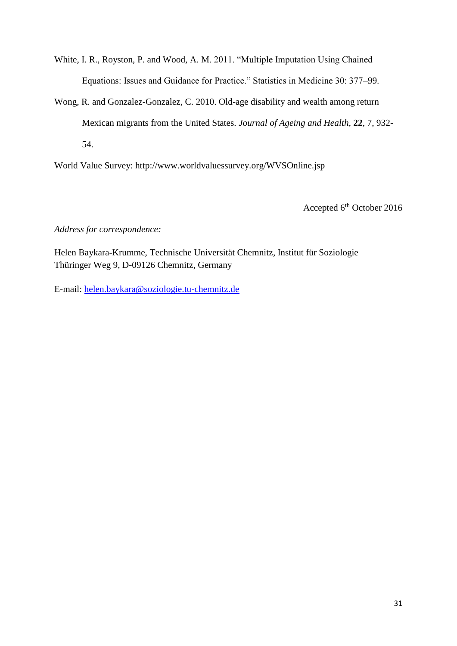- White, I. R., Royston, P. and Wood, A. M. 2011. "Multiple Imputation Using Chained Equations: Issues and Guidance for Practice." Statistics in Medicine 30: 377–99.
- Wong, R. and Gonzalez-Gonzalez, C. 2010. Old-age disability and wealth among return Mexican migrants from the United States. *Journal of Ageing and Health,* **22**, 7, 932- 54.
- World Value Survey: http://www.worldvaluessurvey.org/WVSOnline.jsp

Accepted 6<sup>th</sup> October 2016

#### *Address for correspondence:*

Helen Baykara-Krumme, Technische Universität Chemnitz, Institut für Soziologie Thüringer Weg 9, D-09126 Chemnitz, Germany

E-mail: [helen.baykara@soziologie.tu-chemnitz.de](mailto:helen.baykara@soziologie.tu-chemnitz.de)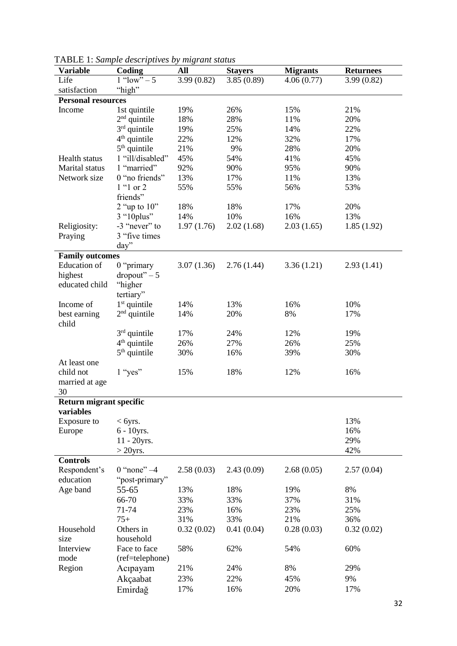| Variable                  | Coding                   | All        | <b>Stayers</b> | <b>Migrants</b> | <b>Returnees</b> |
|---------------------------|--------------------------|------------|----------------|-----------------|------------------|
| Life                      | $1$ "low" – 5            | 3.99(0.82) | 3.85(0.89)     | 4.06(0.77)      | 3.99(0.82)       |
| satisfaction              | "high"                   |            |                |                 |                  |
| <b>Personal resources</b> |                          |            |                |                 |                  |
| Income                    | 1st quintile             | 19%        | 26%            | 15%             | 21%              |
|                           | $2nd$ quintile           | 18%        | 28%            | 11%             | 20%              |
|                           | $3rd$ quintile           | 19%        | 25%            | 14%             | 22%              |
|                           | 4 <sup>th</sup> quintile | 22%        | 12%            | 32%             | 17%              |
|                           | $5th$ quintile           | 21%        | 9%             | 28%             | 20%              |
| Health status             | 1 "ill/disabled"         | 45%        | 54%            | 41%             | 45%              |
| Marital status            | 1 "married"              | 92%        | 90%            | 95%             | 90%              |
| Network size              | 0 "no friends"           | 13%        | 17%            | 11%             | 13%              |
|                           | $1$ "1 or 2              | 55%        | 55%            | 56%             | 53%              |
|                           | friends"                 |            |                |                 |                  |
|                           | 2 "up to $10$ "          | 18%        | 18%            | 17%             | 20%              |
|                           | 3 "10plus"               | 14%        | 10%            | 16%             | 13%              |
| Religiosity:              | -3 "never" to            | 1.97(1.76) | 2.02(1.68)     | 2.03(1.65)      | 1.85(1.92)       |
| Praying                   | 3 "five times            |            |                |                 |                  |
|                           | day"                     |            |                |                 |                  |
| <b>Family outcomes</b>    |                          |            |                |                 |                  |
| <b>Education</b> of       | 0 "primary               | 3.07(1.36) | 2.76(1.44)     | 3.36(1.21)      | 2.93(1.41)       |
| highest                   | $dropout'' - 5$          |            |                |                 |                  |
| educated child            | "higher"                 |            |                |                 |                  |
|                           | tertiary"                |            |                |                 |                  |
| Income of                 | $1st$ quintile           | 14%        | 13%            | 16%             | 10%              |
| best earning              | $2nd$ quintile           | 14%        | 20%            | 8%              | 17%              |
| child                     |                          |            |                |                 |                  |
|                           | $3rd$ quintile           | 17%        | 24%            | 12%             | 19%              |
|                           | $4th$ quintile           | 26%        | 27%            | 26%             | 25%              |
|                           | $5th$ quintile           | 30%        | 16%            | 39%             | 30%              |
| At least one<br>child not |                          | 15%        | 18%            | 12%             | 16%              |
|                           | $1$ "yes"                |            |                |                 |                  |
| married at age<br>30      |                          |            |                |                 |                  |
| Return migrant specific   |                          |            |                |                 |                  |
| variables                 |                          |            |                |                 |                  |
| Exposure to               | $<$ 6yrs.                |            |                |                 | 13%              |
| Europe                    | $6 - 10$ yrs.            |            |                |                 | 16%              |
|                           | 11 - 20yrs.              |            |                |                 | 29%              |
|                           | $>$ 20yrs.               |            |                |                 | 42%              |
| <b>Controls</b>           |                          |            |                |                 |                  |
| Respondent's              | 0 "none" $-4$            | 2.58(0.03) | 2.43(0.09)     | 2.68(0.05)      | 2.57(0.04)       |
| education                 | "post-primary"           |            |                |                 |                  |
| Age band                  | 55-65                    | 13%        | 18%            | 19%             | 8%               |
|                           | 66-70                    | 33%        | 33%            | 37%             | 31%              |
|                           | 71-74                    | 23%        | 16%            | 23%             | 25%              |
|                           | $75+$                    | 31%        | 33%            | 21%             | 36%              |
| Household                 | Others in                | 0.32(0.02) | 0.41(0.04)     | 0.28(0.03)      | 0.32(0.02)       |
| size                      | household                |            |                |                 |                  |
| Interview                 | Face to face             | 58%        | 62%            | 54%             | 60%              |
| mode                      | (ref=telephone)          |            |                |                 |                  |
| Region                    | Acıpayam                 | 21%        | 24%            | 8%              | 29%              |
|                           | Akçaabat                 | 23%        | 22%            | 45%             | 9%               |
|                           | Emirdağ                  | 17%        | 16%            | 20%             | 17%              |
|                           |                          |            |                |                 |                  |

TABLE 1: *Sample descriptives by migrant status*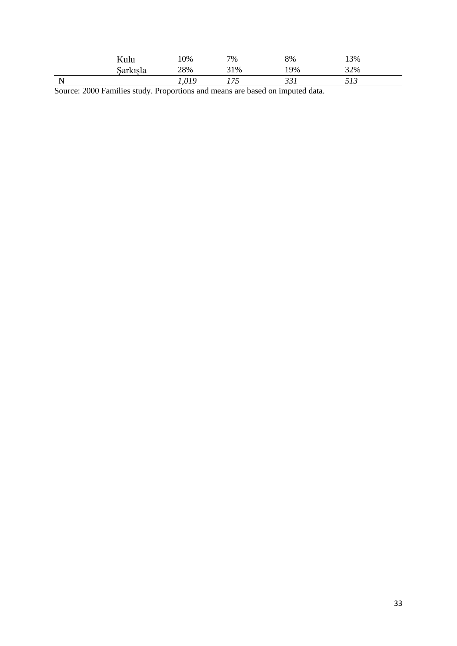|   | Kulu     | 0%    | 7%           | 8%          | 13%                  |
|---|----------|-------|--------------|-------------|----------------------|
|   | Sarkısla | 28%   | 31%          | 19%         | 32%                  |
| N |          | 1,019 | 175<br>1 I J | 221<br>IJJI | <u>= 1 ว</u><br>ں رت |

Source: 2000 Families study. Proportions and means are based on imputed data.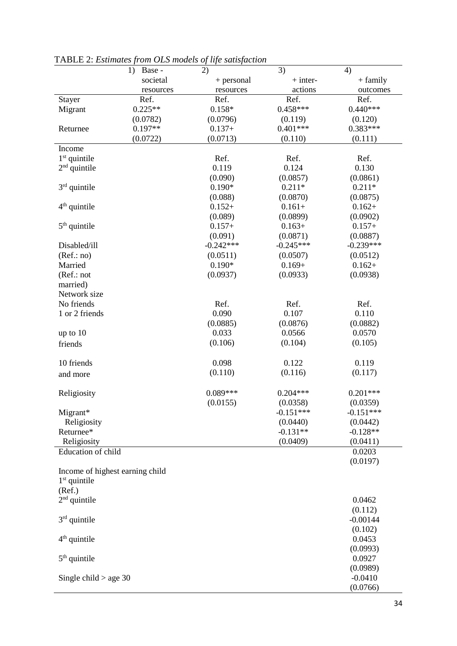|                                 | Base -<br>1) | $\epsilon$<br>2) | 3)          | 4)          |
|---------------------------------|--------------|------------------|-------------|-------------|
|                                 | societal     | + personal       | $+$ inter-  | + family    |
|                                 | resources    | resources        | actions     | outcomes    |
| <b>Stayer</b>                   | Ref.         | Ref.             | Ref.        | Ref.        |
| Migrant                         | $0.225**$    | $0.158*$         | $0.458***$  | $0.440***$  |
|                                 | (0.0782)     | (0.0796)         | (0.119)     | (0.120)     |
| Returnee                        | $0.197**$    | $0.137+$         | $0.401***$  | $0.383***$  |
|                                 | (0.0722)     | (0.0713)         | (0.110)     | (0.111)     |
| Income                          |              |                  |             |             |
| $1st$ quintile                  |              | Ref.             | Ref.        | Ref.        |
| $2nd$ quintile                  |              | 0.119            | 0.124       | 0.130       |
|                                 |              | (0.090)          | (0.0857)    | (0.0861)    |
| 3rd quintile                    |              | $0.190*$         | $0.211*$    | $0.211*$    |
|                                 |              | (0.088)          | (0.0870)    | (0.0875)    |
| $4th$ quintile                  |              | $0.152+$         | $0.161+$    | $0.162+$    |
|                                 |              | (0.089)          | (0.0899)    | (0.0902)    |
| $5th$ quintile                  |              | $0.157+$         | $0.163+$    | $0.157+$    |
|                                 |              | (0.091)          | (0.0871)    | (0.0887)    |
| Disabled/ill                    |              | $-0.242***$      | $-0.245***$ | $-0.239***$ |
| (Ref.: no)                      |              | (0.0511)         | (0.0507)    | (0.0512)    |
| Married                         |              | $0.190*$         | $0.169+$    | $0.162+$    |
| (Ref.: not                      |              | (0.0937)         | (0.0933)    | (0.0938)    |
| married)                        |              |                  |             |             |
| Network size                    |              |                  |             |             |
| No friends                      |              | Ref.             | Ref.        | Ref.        |
| 1 or 2 friends                  |              | 0.090            | 0.107       | 0.110       |
|                                 |              | (0.0885)         | (0.0876)    | (0.0882)    |
| up to $10$                      |              | 0.033            | 0.0566      | 0.0570      |
| friends                         |              | (0.106)          | (0.104)     | (0.105)     |
|                                 |              |                  |             |             |
| 10 friends                      |              | 0.098            | 0.122       | 0.119       |
| and more                        |              | (0.110)          | (0.116)     | (0.117)     |
| Religiosity                     |              | $0.089***$       | $0.204***$  | $0.201***$  |
|                                 |              | (0.0155)         | (0.0358)    | (0.0359)    |
| Migrant*                        |              |                  | $-0.151***$ | $-0.151***$ |
| Religiosity                     |              |                  | (0.0440)    | (0.0442)    |
| Returnee*                       |              |                  | $-0.131**$  | $-0.128**$  |
| Religiosity                     |              |                  | (0.0409)    | (0.0411)    |
| Education of child              |              |                  |             | 0.0203      |
|                                 |              |                  |             | (0.0197)    |
| Income of highest earning child |              |                  |             |             |
| $1st$ quintile                  |              |                  |             |             |
| (Ref.)                          |              |                  |             |             |
| $2nd$ quintile                  |              |                  |             | 0.0462      |
|                                 |              |                  |             | (0.112)     |
| $3rd$ quintile                  |              |                  |             | $-0.00144$  |
|                                 |              |                  |             | (0.102)     |
| $4th$ quintile                  |              |                  |             | 0.0453      |
|                                 |              |                  |             | (0.0993)    |
| $5th$ quintile                  |              |                  |             | 0.0927      |
|                                 |              |                  |             | (0.0989)    |
| Single child $>$ age 30         |              |                  |             | $-0.0410$   |
|                                 |              |                  |             | (0.0766)    |

TABLE 2: *Estimates from OLS models of life satisfaction*